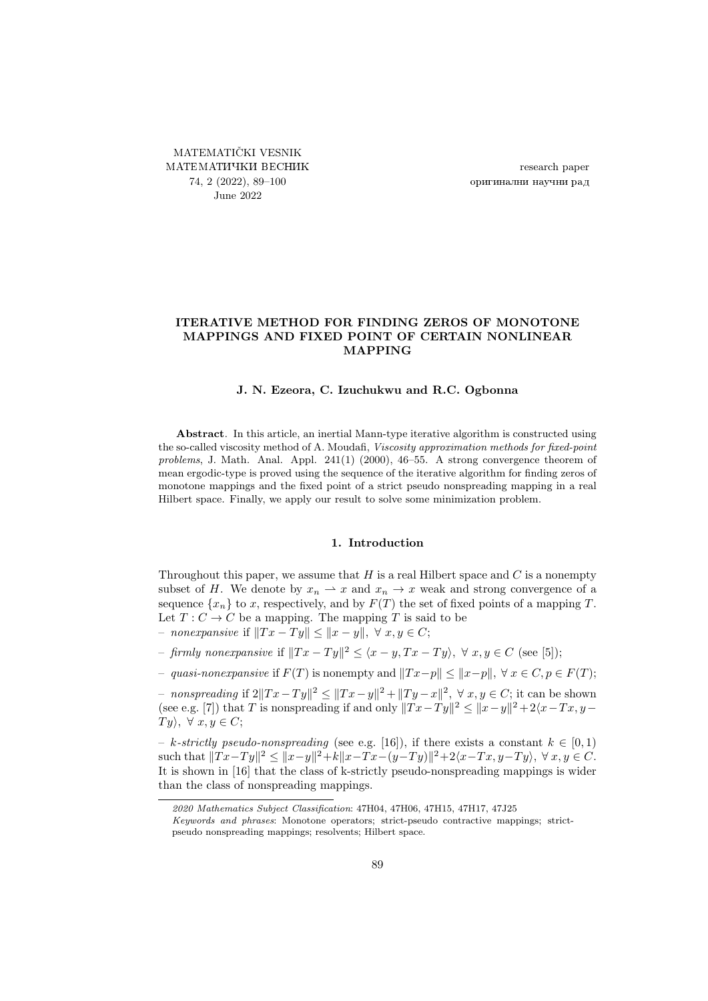<span id="page-0-0"></span>MATEMATIČKI VESNIK МАТЕМАТИЧКИ ВЕСНИК 74, 2 (2022), [89–](#page-0-0)[100](#page-11-0) June 2022

research paper оригинални научни рад

# ITERATIVE METHOD FOR FINDING ZEROS OF MONOTONE MAPPINGS AND FIXED POINT OF CERTAIN NONLINEAR MAPPING

## J. N. Ezeora, C. Izuchukwu and R.C. Ogbonna

Abstract. In this article, an inertial Mann-type iterative algorithm is constructed using the so-called viscosity method of A. Moudafi, Viscosity approximation methods for fixed-point problems, J. Math. Anal. Appl. 241(1) (2000), 46–55. A strong convergence theorem of mean ergodic-type is proved using the sequence of the iterative algorithm for finding zeros of monotone mappings and the fixed point of a strict pseudo nonspreading mapping in a real Hilbert space. Finally, we apply our result to solve some minimization problem.

## 1. Introduction

Throughout this paper, we assume that  $H$  is a real Hilbert space and  $C$  is a nonempty subset of H. We denote by  $x_n \rightharpoonup x$  and  $x_n \rightharpoonup x$  weak and strong convergence of a sequence  $\{x_n\}$  to x, respectively, and by  $F(T)$  the set of fixed points of a mapping T. Let  $T: C \to C$  be a mapping. The mapping T is said to be

– nonexpansive if  $||Tx - Ty|| < ||x - y||$ , ∀ x, y ∈ C;

– firmly nonexpansive if  $||Tx - Ty||^2 \le \langle x - y, Tx - Ty \rangle$ , ∀  $x, y \in C$  (see [\[5\]](#page-11-1));

– quasi-nonexpansive if  $F(T)$  is nonempty and  $||Tx-p|| \le ||x-p||$ ,  $\forall x \in C, p \in F(T)$ ;

- nonspreading if  $2||Tx - Ty||^2 \le ||Tx - y||^2 + ||Ty - x||^2$ , ∀ x, y ∈ C; it can be shown (see e.g. [\[7\]](#page-11-2)) that T is nonspreading if and only  $||Tx - Ty||^2 \le ||x - y||^2 + 2\langle x - Tx, y - y \rangle$  $Ty\lambda, \forall x, y \in C;$ 

– k-strictly pseudo-nonspreading (see e.g. [\[16\]](#page-11-3)), if there exists a constant  $k \in [0,1)$ such that  $||Tx-Ty||^2 \le ||x-y||^2 + k||x-Tx-(y-Ty)||^2 + 2\langle x-Tx, y-Ty \rangle, \forall x, y \in C$ . It is shown in [\[16\]](#page-11-3) that the class of k-strictly pseudo-nonspreading mappings is wider than the class of nonspreading mappings.

<sup>2020</sup> Mathematics Subject Classification: 47H04, 47H06, 47H15, 47H17, 47J25

Keywords and phrases: Monotone operators; strict-pseudo contractive mappings; strictpseudo nonspreading mappings; resolvents; Hilbert space.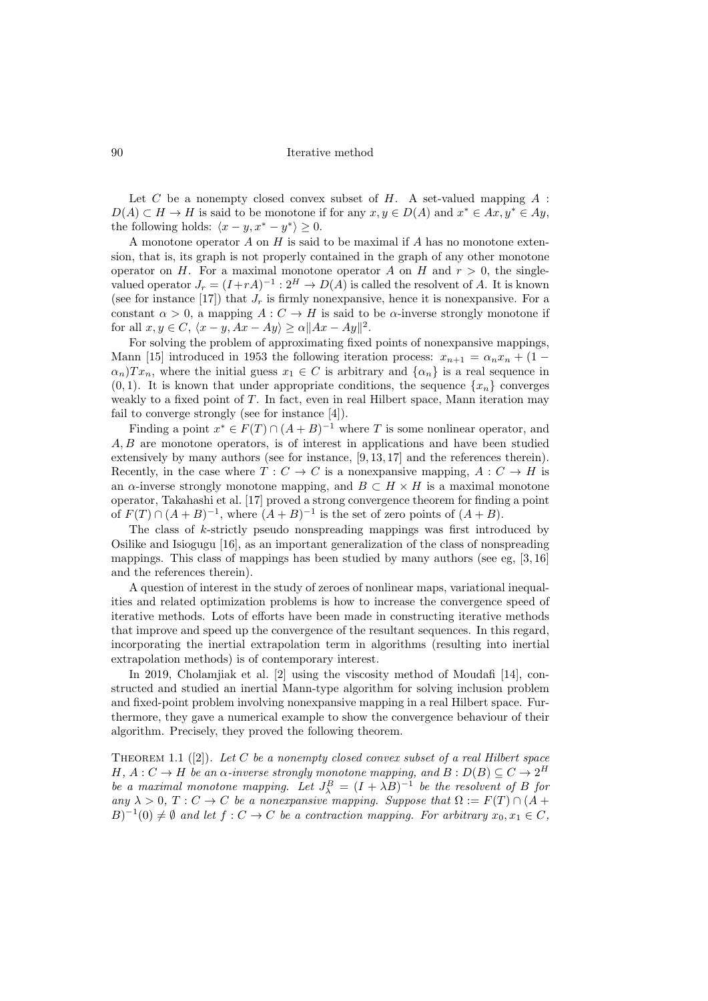Let  $C$  be a nonempty closed convex subset of  $H$ . A set-valued mapping  $A$ :  $D(A) \subset H \to H$  is said to be monotone if for any  $x, y \in D(A)$  and  $x^* \in Ax, y^* \in Ay$ , the following holds:  $\langle x-y, x^* - y^* \rangle \geq 0$ .

A monotone operator A on H is said to be maximal if A has no monotone extension, that is, its graph is not properly contained in the graph of any other monotone operator on H. For a maximal monotone operator A on H and  $r > 0$ , the singlevalued operator  $J_r = (I + rA)^{-1} : 2^H \to D(A)$  is called the resolvent of A. It is known (see for instance [\[17\]](#page-11-4)) that  $J_r$  is firmly nonexpansive, hence it is nonexpansive. For a constant  $\alpha > 0$ , a mapping  $A: C \to H$  is said to be  $\alpha$ -inverse strongly monotone if for all  $x, y \in C$ ,  $\langle x - y, Ax - Ay \rangle \ge \alpha ||Ax - Ay||^2$ .

For solving the problem of approximating fixed points of nonexpansive mappings, Mann [\[15\]](#page-11-5) introduced in 1953 the following iteration process:  $x_{n+1} = \alpha_n x_n + (1 \alpha_n$ )Tx<sub>n</sub>, where the initial guess  $x_1 \in C$  is arbitrary and  $\{\alpha_n\}$  is a real sequence in  $(0, 1)$ . It is known that under appropriate conditions, the sequence  $\{x_n\}$  converges weakly to a fixed point of T. In fact, even in real Hilbert space, Mann iteration may fail to converge strongly (see for instance [\[4\]](#page-11-6)).

Finding a point  $x^* \in F(T) \cap (A + B)^{-1}$  where T is some nonlinear operator, and A, B are monotone operators, is of interest in applications and have been studied extensively by many authors (see for instance, [\[9,](#page-11-7) [13,](#page-11-8) [17\]](#page-11-4) and the references therein). Recently, in the case where  $T: C \to C$  is a nonexpansive mapping,  $A: C \to H$  is an  $\alpha$ -inverse strongly monotone mapping, and  $B \subset H \times H$  is a maximal monotone operator, Takahashi et al. [\[17\]](#page-11-4) proved a strong convergence theorem for finding a point of  $F(T) \cap (A + B)^{-1}$ , where  $(A + B)^{-1}$  is the set of zero points of  $(A + B)$ .

The class of k-strictly pseudo nonspreading mappings was first introduced by Osilike and Isiogugu [\[16\]](#page-11-3), as an important generalization of the class of nonspreading mappings. This class of mappings has been studied by many authors (see eg, [\[3,](#page-11-9) [16\]](#page-11-3) and the references therein).

A question of interest in the study of zeroes of nonlinear maps, variational inequalities and related optimization problems is how to increase the convergence speed of iterative methods. Lots of efforts have been made in constructing iterative methods that improve and speed up the convergence of the resultant sequences. In this regard, incorporating the inertial extrapolation term in algorithms (resulting into inertial extrapolation methods) is of contemporary interest.

In 2019, Cholamjiak et al. [\[2\]](#page-11-10) using the viscosity method of Moudafi [\[14\]](#page-11-11), constructed and studied an inertial Mann-type algorithm for solving inclusion problem and fixed-point problem involving nonexpansive mapping in a real Hilbert space. Furthermore, they gave a numerical example to show the convergence behaviour of their algorithm. Precisely, they proved the following theorem.

THEOREM1.1 ([\[2\]](#page-11-10)). Let C be a nonempty closed convex subset of a real Hilbert space H,  $A: C \to H$  be an  $\alpha$ -inverse strongly monotone mapping, and  $B: D(B) \subseteq C \to 2^H$ be a maximal monotone mapping. Let  $J_{\lambda}^{B} = (I + \lambda B)^{-1}$  be the resolvent of B for any  $\lambda > 0$ ,  $T: C \to C$  be a nonexpansive mapping. Suppose that  $\Omega := F(T) \cap (A +$  $B)^{-1}(0) \neq \emptyset$  and let  $f: C \to C$  be a contraction mapping. For arbitrary  $x_0, x_1 \in C$ ,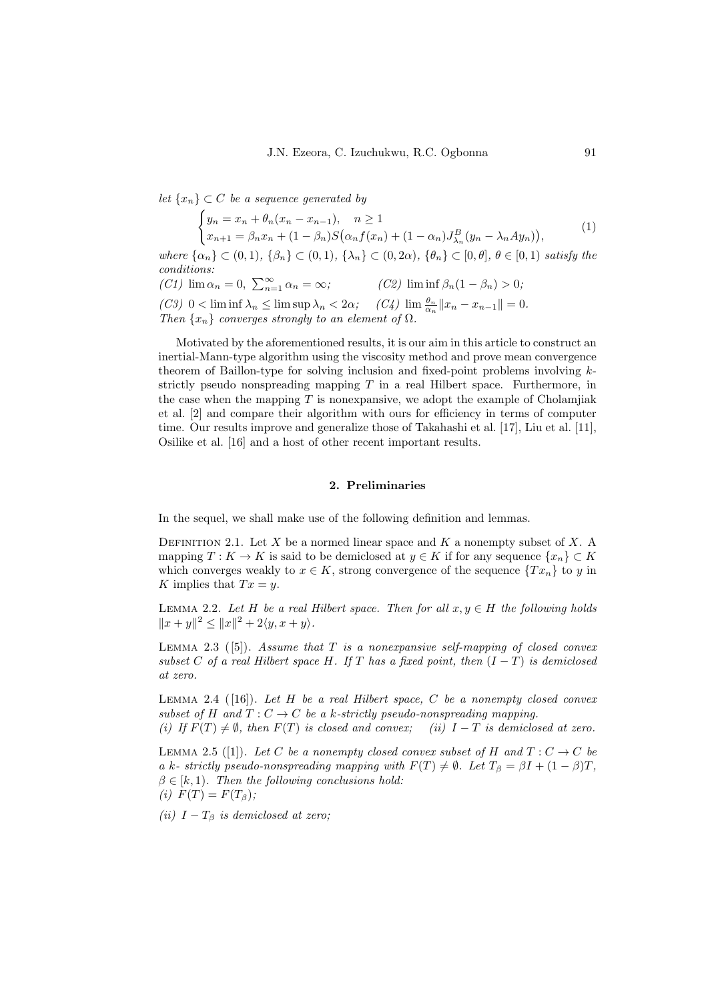let  $\{x_n\} \subset C$  be a sequence generated by

$$
\begin{cases}\n y_n = x_n + \theta_n (x_n - x_{n-1}), \quad n \ge 1 \\
 x_{n+1} = \beta_n x_n + (1 - \beta_n) S(\alpha_n f(x_n) + (1 - \alpha_n) J_{\lambda_n}^B (y_n - \lambda_n A y_n)),\n\end{cases} (1)
$$

where  $\{\alpha_n\} \subset (0,1)$ ,  $\{\beta_n\} \subset (0,1)$ ,  $\{\lambda_n\} \subset (0,2\alpha)$ ,  $\{\theta_n\} \subset [0,\theta]$ ,  $\theta \in [0,1)$  satisfy the conditions:  $(C1)$  lim  $\alpha_n = 0$ ,  $\sum_{n=1}^{\infty}$ (C2) lim inf  $\beta_n(1 - \beta_n) > 0;$ 

(C3)  $0 < \liminf \lambda_n \leq \limsup \lambda_n < 2\alpha;$  (C4)  $\lim_{\alpha_n} \frac{\theta_n}{\alpha_n} ||x_n - x_{n-1}|| = 0.$ Then  $\{x_n\}$  converges strongly to an element of  $\Omega$ .

Motivated by the aforementioned results, it is our aim in this article to construct an inertial-Mann-type algorithm using the viscosity method and prove mean convergence theorem of Baillon-type for solving inclusion and fixed-point problems involving  $k$ strictly pseudo nonspreading mapping  $T$  in a real Hilbert space. Furthermore, in the case when the mapping  $T$  is nonexpansive, we adopt the example of Cholamjiak et al. [\[2\]](#page-11-10) and compare their algorithm with ours for efficiency in terms of computer time. Our results improve and generalize those of Takahashi et al. [\[17\]](#page-11-4), Liu et al. [\[11\]](#page-11-12), Osilike et al. [\[16\]](#page-11-3) and a host of other recent important results.

## <span id="page-2-3"></span>2. Preliminaries

In the sequel, we shall make use of the following definition and lemmas.

DEFINITION 2.1. Let X be a normed linear space and  $K$  a nonempty subset of X. A mapping  $T : K \to K$  is said to be demiclosed at  $y \in K$  if for any sequence  $\{x_n\} \subset K$ which converges weakly to  $x \in K$ , strong convergence of the sequence  $\{Tx_n\}$  to y in K implies that  $Tx = y$ .

<span id="page-2-2"></span>LEMMA 2.2. Let H be a real Hilbert space. Then for all  $x, y \in H$  the following holds  $||x+y||^2 \leq ||x||^2 + 2\langle y, x+y\rangle.$ 

<span id="page-2-1"></span>LEMMA 2.3 ([\[5\]](#page-11-1)). Assume that T is a nonexpansive self-mapping of closed convex subset C of a real Hilbert space H. If T has a fixed point, then  $(I-T)$  is demiclosed at zero.

LEMMA 2.4 ( $[16]$ ). Let H be a real Hilbert space, C be a nonempty closed convex subset of H and  $T: C \to C$  be a k-strictly pseudo-nonspreading mapping.

(i) If  $F(T) \neq \emptyset$ , then  $F(T)$  is closed and convex; (ii)  $I - T$  is demiclosed at zero.

<span id="page-2-0"></span>LEMMA2.5 ([\[1\]](#page-11-13)). Let C be a nonempty closed convex subset of H and  $T: C \to C$  be a k- strictly pseudo-nonspreading mapping with  $F(T) \neq \emptyset$ . Let  $T_{\beta} = \beta I + (1 - \beta)T$ ,  $\beta \in [k, 1)$ . Then the following conclusions hold: (i)  $F(T) = F(T_\beta);$ 

(ii)  $I - T_\beta$  is demiclosed at zero;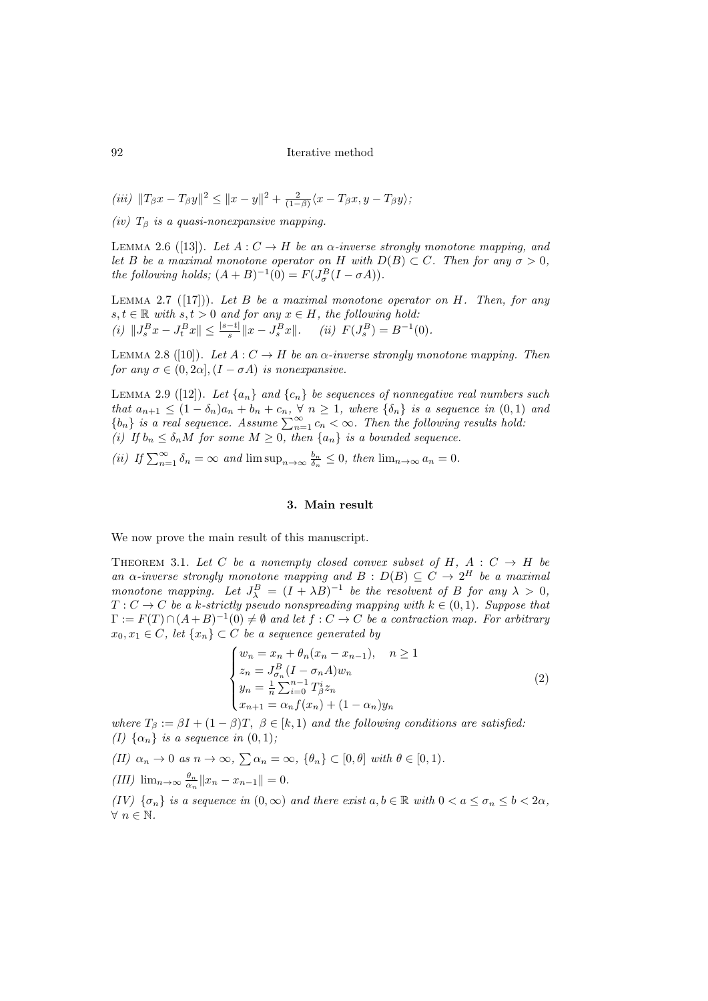- <span id="page-3-7"></span>(iii)  $||T_{\beta}x - T_{\beta}y||^2 \le ||x - y||^2 + \frac{2}{(1-\beta)}\langle x - T_{\beta}x, y - T_{\beta}y\rangle;$
- (iv)  $T_\beta$  is a quasi-nonexpansive mapping.

<span id="page-3-10"></span>LEMMA2.6 ([\[13\]](#page-11-8)). Let  $A: C \to H$  be an  $\alpha$ -inverse strongly monotone mapping, and let B be a maximal monotone operator on H with  $D(B) \subset C$ . Then for any  $\sigma > 0$ , the following holds;  $(A + B)^{-1}(0) = F(J^B_\sigma(I - \sigma A)).$ 

<span id="page-3-9"></span>LEMMA2.7 ([\[17\]](#page-11-4))). Let B be a maximal monotone operator on H. Then, for any  $s, t \in \mathbb{R}$  with  $s, t > 0$  and for any  $x \in H$ , the following hold: (i)  $||J_s^B x - J_t^B x|| \le \frac{|s-t|}{s} ||x - J_s^B x||$ . (ii)  $F(J_s^B) = B^{-1}(0)$ .

<span id="page-3-2"></span>LEMMA2.8 ([\[10\]](#page-11-14)). Let  $A: C \to H$  be an  $\alpha$ -inverse strongly monotone mapping. Then for any  $\sigma \in (0, 2\alpha], (I - \sigma A)$  is nonexpansive.

<span id="page-3-3"></span>LEMMA2.9 ([\[12\]](#page-11-15)). Let  $\{a_n\}$  and  $\{c_n\}$  be sequences of nonnegative real numbers such that  $a_{n+1} \leq (1 - \delta_n)a_n + b_n + c_n$ ,  $\forall n \geq 1$ , where  $\{\delta_n\}$  is a sequence in  $(0, 1)$  and  ${b_n}$  is a real sequence. Assume  $\sum_{n=1}^{\infty} c_n < \infty$ . Then the following results hold: (i) If  $b_n \leq \delta_n M$  for some  $M \geq 0$ , then  $\{a_n\}$  is a bounded sequence.

<span id="page-3-11"></span><span id="page-3-4"></span>(ii) If  $\sum_{n=1}^{\infty} \delta_n = \infty$  and  $\limsup_{n \to \infty} \frac{b_n}{\delta_n} \leq 0$ , then  $\lim_{n \to \infty} a_n = 0$ .

# <span id="page-3-0"></span>3. Main result

We now prove the main result of this manuscript.

<span id="page-3-1"></span>THEOREM 3.1. Let C be a nonempty closed convex subset of H,  $A : C \rightarrow H$  be an  $\alpha$ -inverse strongly monotone mapping and  $B : D(B) \subseteq C \longrightarrow 2^H$  be a maximal monotone mapping. Let  $J^B_\lambda = (I + \lambda B)^{-1}$  be the resolvent of B for any  $\lambda > 0$ ,  $T: C \to C$  be a k-strictly pseudo nonspreading mapping with  $k \in (0,1)$ . Suppose that  $\Gamma := F(T) \cap (A+B)^{-1}(0) \neq \emptyset$  and let  $f : C \to C$  be a contraction map. For arbitrary  $x_0, x_1 \in C$ , let  $\{x_n\} \subset C$  be a sequence generated by

$$
\begin{cases}\nw_n = x_n + \theta_n (x_n - x_{n-1}), & n \ge 1 \\
z_n = J_{\sigma_n}^B (I - \sigma_n A) w_n \\
y_n = \frac{1}{n} \sum_{i=0}^{n-1} T_{\beta}^i z_n \\
x_{n+1} = \alpha_n f(x_n) + (1 - \alpha_n) y_n\n\end{cases} \tag{2}
$$

where  $T_{\beta} := \beta I + (1 - \beta)T$ ,  $\beta \in [k, 1)$  and the following conditions are satisfied: (I)  $\{\alpha_n\}$  is a sequence in  $(0, 1)$ ;

<span id="page-3-6"></span>(II)  $\alpha_n \to 0$  as  $n \to \infty$ ,  $\sum \alpha_n = \infty$ ,  $\{\theta_n\} \subset [0, \theta]$  with  $\theta \in [0, 1)$ .

<span id="page-3-5"></span>(III) 
$$
\lim_{n\to\infty} \frac{\theta_n}{\alpha_n} ||x_n - x_{n-1}|| = 0.
$$

<span id="page-3-8"></span>(IV)  $\{\sigma_n\}$  is a sequence in  $(0,\infty)$  and there exist  $a, b \in \mathbb{R}$  with  $0 < a \leq \sigma_n \leq b < 2\alpha$ ,  $\forall n \in \mathbb{N}$ .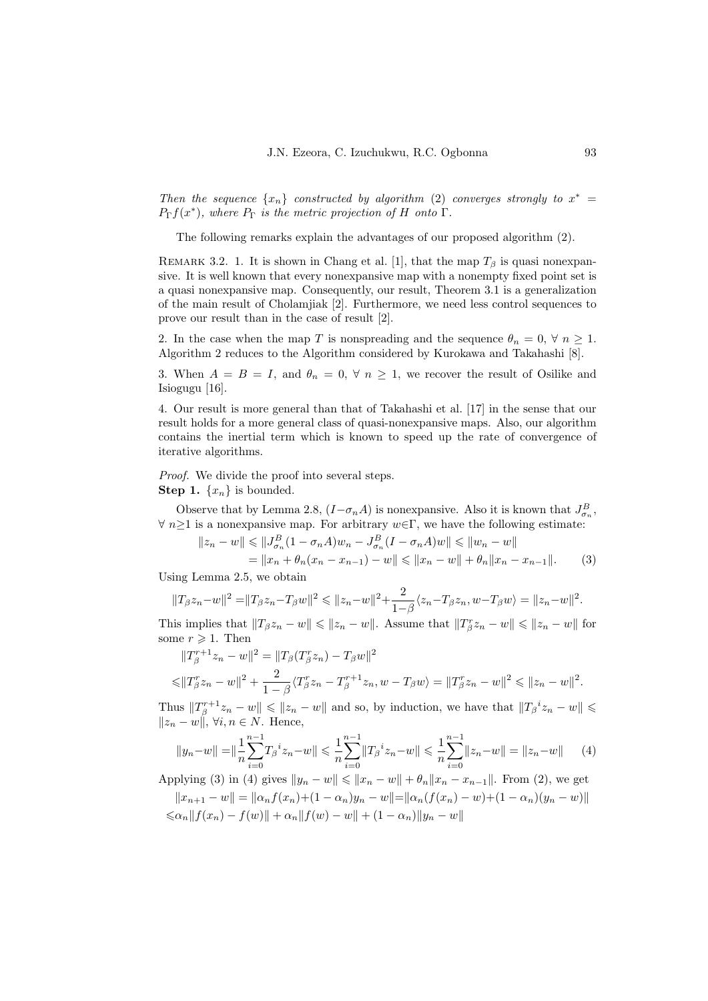Then the sequence  $\{x_n\}$  constructed by algorithm [\(2\)](#page-3-0) converges strongly to  $x^* =$  $P_{\Gamma}f(x^*)$ , where  $P_{\Gamma}$  is the metric projection of H onto  $\Gamma$ .

The following remarks explain the advantages of our proposed algorithm [\(2\)](#page-3-0).

REMARK 3.2. 1. It is shown in Chang et al. [\[1\]](#page-11-13), that the map  $T_\beta$  is quasi nonexpansive. It is well known that every nonexpansive map with a nonempty fixed point set is a quasi nonexpansive map. Consequently, our result, Theorem [3.1](#page-3-1) is a generalization of the main result of Cholamjiak [\[2\]](#page-11-10). Furthermore, we need less control sequences to prove our result than in the case of result [\[2\]](#page-11-10).

2. In the case when the map T is nonspreading and the sequence  $\theta_n = 0, \forall n \geq 1$ . Algorithm [2](#page-3-0) reduces to the Algorithm considered by Kurokawa and Takahashi [\[8\]](#page-11-16).

3. When  $A = B = I$ , and  $\theta_n = 0$ ,  $\forall n \geq 1$ , we recover the result of Osilike and Isiogugu [\[16\]](#page-11-3).

4. Our result is more general than that of Takahashi et al. [\[17\]](#page-11-4) in the sense that our result holds for a more general class of quasi-nonexpansive maps. Also, our algorithm contains the inertial term which is known to speed up the rate of convergence of iterative algorithms.

Proof. We divide the proof into several steps. **Step 1.**  $\{x_n\}$  is bounded.

Observe that by Lemma [2.8,](#page-3-2)  $(I - \sigma_n A)$  is nonexpansive. Also it is known that  $J_{\sigma_n}^B$ ,  $\forall n \geq 1$  is a nonexpansive map. For arbitrary  $w \in \Gamma$ , we have the following estimate:

<span id="page-4-0"></span>
$$
||z_n - w|| \le ||J_{\sigma_n}^B (1 - \sigma_n A) w_n - J_{\sigma_n}^B (I - \sigma_n A) w|| \le ||w_n - w||
$$
  
=  $||x_n + \theta_n (x_n - x_{n-1}) - w|| \le ||x_n - w|| + \theta_n ||x_n - x_{n-1}||.$  (3)

Using Lemma [2.5,](#page-2-0) we obtain

$$
||T_{\beta}z_{n}-w||^{2} = ||T_{\beta}z_{n}-T_{\beta}w||^{2} \le ||z_{n}-w||^{2} + \frac{2}{1-\beta}\langle z_{n}-T_{\beta}z_{n}, w-T_{\beta}w\rangle = ||z_{n}-w||^{2}.
$$

This implies that  $||T_{\beta}z_n - w|| \le ||z_n - w||$ . Assume that  $||T_{\beta}z_n - w|| \le ||z_n - w||$  for some  $r \geqslant 1$ . Then

$$
||T_{\beta}^{r+1}z_n - w||^2 = ||T_{\beta}(T_{\beta}^r z_n) - T_{\beta} w||^2
$$
  

$$
\leq ||T_{\beta}^r z_n - w||^2 + \frac{2}{1 - \beta} \langle T_{\beta}^r z_n - T_{\beta}^{r+1} z_n, w - T_{\beta} w \rangle = ||T_{\beta}^r z_n - w||^2 \leq ||z_n - w||^2.
$$

Thus  $||T_{\beta}^{r+1}z_n - w|| \le ||z_n - w||$  and so, by induction, we have that  $||T_{\beta}^{i}z_n - w|| \le$  $||z_n - w||$ ,  $\forall i, n \in \mathbb{N}$ . Hence,

<span id="page-4-1"></span>
$$
||y_n - w|| = \left\|\frac{1}{n}\sum_{i=0}^{n-1} T_{\beta}^i z_n - w\right\| \leq \left\|\frac{1}{n}\sum_{i=0}^{n-1} \|T_{\beta}^i z_n - w\| \leq \left\|\frac{1}{n}\sum_{i=0}^{n-1} \|z_n - w\| \right\| = \|z_n - w\| \tag{4}
$$

Applying [\(3\)](#page-4-0) in [\(4\)](#page-4-1) gives  $||y_n - w|| \le ||x_n - w|| + \theta_n ||x_n - x_{n-1}||$ . From [\(2\)](#page-3-0), we get  $||x_{n+1} - w|| = ||\alpha_n f(x_n) + (1 - \alpha_n)y_n - w|| = ||\alpha_n(f(x_n) - w) + (1 - \alpha_n)(y_n - w)||$  $\|\cos\alpha_n\|f(x_n)-f(w)\|+\alpha_n\|f(w)-w\|+(1-\alpha_n)\|y_n-w\|$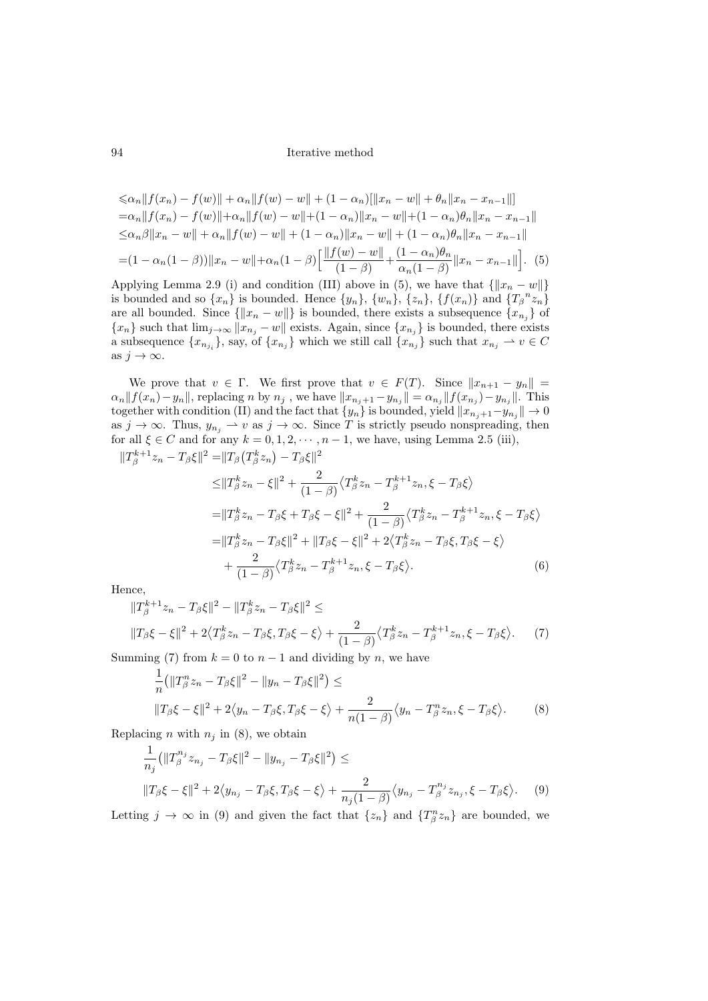<span id="page-5-0"></span>
$$
\leq \alpha_n \|f(x_n) - f(w)\| + \alpha_n \|f(w) - w\| + (1 - \alpha_n) [\|x_n - w\| + \theta_n \|x_n - x_{n-1}\|]
$$
  
\n
$$
= \alpha_n \|f(x_n) - f(w)\| + \alpha_n \|f(w) - w\| + (1 - \alpha_n) \|x_n - w\| + (1 - \alpha_n) \theta_n \|x_n - x_{n-1}\|
$$
  
\n
$$
\leq \alpha_n \beta \|x_n - w\| + \alpha_n \|f(w) - w\| + (1 - \alpha_n) \|x_n - w\| + (1 - \alpha_n) \theta_n \|x_n - x_{n-1}\|
$$
  
\n
$$
= (1 - \alpha_n (1 - \beta)) \|x_n - w\| + \alpha_n (1 - \beta) \Big[ \frac{\|f(w) - w\|}{(1 - \beta)} + \frac{(1 - \alpha_n) \theta_n}{\alpha_n (1 - \beta)} \|x_n - x_{n-1}\| \Big]. \tag{5}
$$

Applying Lemma [2.9](#page-3-3) [\(i\)](#page-3-4) and condition [\(III\)](#page-3-5) above in [\(5\)](#page-5-0), we have that  $\{||x_n - w||\}$ is bounded and so  $\{x_n\}$  is bounded. Hence  $\{y_n\}$ ,  $\{w_n\}$ ,  $\{z_n\}$ ,  $\{f(x_n)\}$  and  $\{T_\beta{}^nz_n\}$ are all bounded. Since  $\{\|x_n - w\|\}$  is bounded, there exists a subsequence  $\{x_{n_j}\}$  of  ${x_n}$  such that  $\lim_{j\to\infty} ||x_{n_j} - w||$  exists. Again, since  ${x_{n_j}}$  is bounded, there exists a subsequence  $\{x_{n_{j_i}}\}$ , say, of  $\{x_{n_j}\}$  which we still call  $\{x_{n_j}\}$  such that  $x_{n_j} \to v \in C$ as  $j \to \infty$ .

We prove that  $v \in \Gamma$ . We first prove that  $v \in F(T)$ . Since  $||x_{n+1} - y_n|| =$  $\alpha_n || f(x_n) - y_n ||$ , replacing n by  $n_j$ , we have  $||x_{n_j+1} - y_{n_j}|| = \alpha_{n_j} ||f(x_{n_j}) - y_{n_j}||$ . This together with condition [\(II\)](#page-3-6) and the fact that  $\{y_n\}$  is bounded, yield  $||x_{n_j+1}-y_{n_j}|| \to 0$ as  $j \to \infty$ . Thus,  $y_{n_j} \to v$  as  $j \to \infty$ . Since T is strictly pseudo nonspreading, then for all  $\xi \in C$  and for any  $k = 0, 1, 2, \dots, n - 1$ , we have, using Lemma [2.5](#page-2-0) [\(iii\),](#page-3-7)

$$
||T_{\beta}^{k+1}z_{n} - T_{\beta}\xi||^{2} = ||T_{\beta}(T_{\beta}^{k}z_{n}) - T_{\beta}\xi||^{2}
$$
  
\n
$$
\leq ||T_{\beta}^{k}z_{n} - \xi||^{2} + \frac{2}{(1-\beta)}\langle T_{\beta}^{k}z_{n} - T_{\beta}^{k+1}z_{n}, \xi - T_{\beta}\xi \rangle
$$
  
\n
$$
= ||T_{\beta}^{k}z_{n} - T_{\beta}\xi + T_{\beta}\xi - \xi||^{2} + \frac{2}{(1-\beta)}\langle T_{\beta}^{k}z_{n} - T_{\beta}^{k+1}z_{n}, \xi - T_{\beta}\xi \rangle
$$
  
\n
$$
= ||T_{\beta}^{k}z_{n} - T_{\beta}\xi||^{2} + ||T_{\beta}\xi - \xi||^{2} + 2\langle T_{\beta}^{k}z_{n} - T_{\beta}\xi, T_{\beta}\xi - \xi \rangle
$$
  
\n
$$
+ \frac{2}{(1-\beta)}\langle T_{\beta}^{k}z_{n} - T_{\beta}^{k+1}z_{n}, \xi - T_{\beta}\xi \rangle.
$$
 (6)

Hence,

$$
||T_{\beta}^{k+1}z_n - T_{\beta}\xi||^2 - ||T_{\beta}^k z_n - T_{\beta}\xi||^2 \le
$$
  

$$
||T_{\beta}\xi - \xi||^2 + 2\langle T_{\beta}^k z_n - T_{\beta}\xi, T_{\beta}\xi - \xi \rangle + \frac{2}{(1-\beta)}\langle T_{\beta}^k z_n - T_{\beta}^{k+1} z_n, \xi - T_{\beta}\xi \rangle.
$$
 (7)

Summing [\(7\)](#page-5-1) from  $k = 0$  to  $n - 1$  and dividing by n, we have

<span id="page-5-2"></span><span id="page-5-1"></span>
$$
\frac{1}{n} \left( \|T_{\beta}^n z_n - T_{\beta} \xi\|^2 - \|y_n - T_{\beta} \xi\|^2 \right) \le
$$
\n
$$
\|T_{\beta} \xi - \xi\|^2 + 2\langle y_n - T_{\beta} \xi, T_{\beta} \xi - \xi \rangle + \frac{2}{n(1-\beta)} \langle y_n - T_{\beta}^n z_n, \xi - T_{\beta} \xi \rangle. \tag{8}
$$

Replacing *n* with  $n_i$  in [\(8\)](#page-5-2), we obtain

<span id="page-5-3"></span>
$$
\frac{1}{n_j} \left( \|T_{\beta}^{n_j} z_{n_j} - T_{\beta} \xi \|^2 - \|y_{n_j} - T_{\beta} \xi \|^2 \right) \le
$$
  

$$
\|T_{\beta} \xi - \xi \|^2 + 2 \langle y_{n_j} - T_{\beta} \xi, T_{\beta} \xi - \xi \rangle + \frac{2}{n_j (1 - \beta)} \langle y_{n_j} - T_{\beta}^{n_j} z_{n_j}, \xi - T_{\beta} \xi \rangle. \tag{9}
$$

Letting  $j \to \infty$  in [\(9\)](#page-5-3) and given the fact that  $\{z_n\}$  and  $\{T^n_\beta z_n\}$  are bounded, we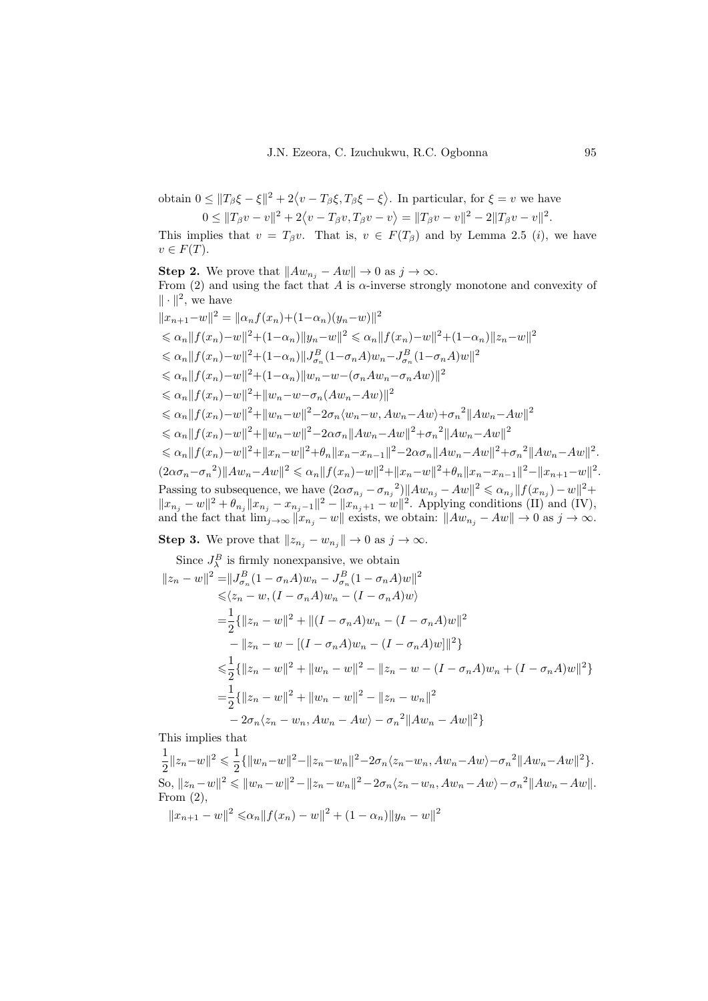obtain  $0 \leq ||T_{\beta}\xi - \xi||^2 + 2\langle v - T_{\beta}\xi, T_{\beta}\xi - \xi\rangle$ . In particular, for  $\xi = v$  we have

$$
0 \leq ||T_{\beta}v - v||^2 + 2\langle v - T_{\beta}v, T_{\beta}v - v \rangle = ||T_{\beta}v - v||^2 - 2||T_{\beta}v - v||^2.
$$

This implies that  $v = T_\beta v$ . That is,  $v \in F(T_\beta)$  and by Lemma [2.5](#page-2-0) (*i*), we have  $v \in F(T)$ .

<span id="page-6-0"></span>**Step 2.** We prove that  $||Aw_{n_j}-Aw|| \to 0$  as  $j \to \infty$ . From [\(2\)](#page-3-0) and using the fact that A is  $\alpha$ -inverse strongly monotone and convexity of  $\|\cdot\|^2$ , we have

$$
||x_{n+1}-w||^{2} = ||\alpha_{n}f(x_{n})+(1-\alpha_{n})(y_{n}-w)||^{2}
$$
  
\n
$$
\leq \alpha_{n}||f(x_{n})-w||^{2}+(1-\alpha_{n})||y_{n}-w||^{2} \leq \alpha_{n}||f(x_{n})-w||^{2}+(1-\alpha_{n})||z_{n}-w||^{2}
$$
  
\n
$$
\leq \alpha_{n}||f(x_{n})-w||^{2}+(1-\alpha_{n})||J_{\sigma_{n}}^{B}(1-\sigma_{n}A)w_{n}-J_{\sigma_{n}}^{B}(1-\sigma_{n}A)w||^{2}
$$
  
\n
$$
\leq \alpha_{n}||f(x_{n})-w||^{2}+(1-\alpha_{n})||w_{n}-w-(\sigma_{n}Aw_{n}-\sigma_{n}Aw)||^{2}
$$
  
\n
$$
\leq \alpha_{n}||f(x_{n})-w||^{2}+||w_{n}-w-\sigma_{n}(Aw_{n}-Aw)||^{2}
$$
  
\n
$$
\leq \alpha_{n}||f(x_{n})-w||^{2}+||w_{n}-w||^{2}-2\sigma_{n}\langle w_{n}-w, Aw_{n}-Aw\rangle+\sigma_{n}^{2}||Aw_{n}-Aw||^{2}
$$
  
\n
$$
\leq \alpha_{n}||f(x_{n})-w||^{2}+||w_{n}-w||^{2}-2\alpha\sigma_{n}||Aw_{n}-Aw||^{2}+\sigma_{n}^{2}||Aw_{n}-Aw||^{2}
$$
  
\n
$$
\leq \alpha_{n}||f(x_{n})-w||^{2}+||x_{n}-w||^{2}+\theta_{n}||x_{n}-x_{n-1}||^{2}-2\alpha\sigma_{n}||Aw_{n}-Aw||^{2}+\sigma_{n}^{2}||Aw_{n}-Aw||^{2}.
$$
  
\n
$$
(2\alpha\sigma_{n}-\sigma_{n}^{2})||Aw_{n}-Aw||^{2} \leq \alpha_{n}||f(x_{n})-w||^{2}+||x_{n}-w||^{2}+\theta_{n}||x_{n}-x_{n-1}||^{2}-||x_{n+1}-w||^{2}.
$$
  
\nPassing to subsequence, we have  $(2\alpha\sigma_{n_{j}}-\sigma_{n_{j}}^{2})||Aw_{n_{j}}-Aw||^{2} \leq \alpha_{n_{j}}||f(x_{n_{j}})-w||^{2}+$   
\n<math display="</math>

<span id="page-6-1"></span>**Step 3.** We prove that  $||z_{n_j} - w_{n_j}|| \to 0$  as  $j \to \infty$ .

Since 
$$
J_{\lambda}^{B}
$$
 is firmly nonexpansive, we obtain  
\n
$$
||z_{n} - w||^{2} = ||J_{\sigma_{n}}^{B} (1 - \sigma_{n} A) w_{n} - J_{\sigma_{n}}^{B} (1 - \sigma_{n} A) w||^{2}
$$
\n
$$
\leq \langle z_{n} - w, (I - \sigma_{n} A) w_{n} - (I - \sigma_{n} A) w \rangle
$$
\n
$$
= \frac{1}{2} \{ ||z_{n} - w||^{2} + ||(I - \sigma_{n} A) w_{n} - (I - \sigma_{n} A) w||^{2}
$$
\n
$$
- ||z_{n} - w - [(I - \sigma_{n} A) w_{n} - (I - \sigma_{n} A) w]||^{2} \}
$$
\n
$$
\leq \frac{1}{2} \{ ||z_{n} - w||^{2} + ||w_{n} - w||^{2} - ||z_{n} - w - (I - \sigma_{n} A) w_{n} + (I - \sigma_{n} A) w||^{2} \}
$$
\n
$$
= \frac{1}{2} \{ ||z_{n} - w||^{2} + ||w_{n} - w||^{2} - ||z_{n} - w_{n}||^{2}
$$
\n
$$
- 2\sigma_{n} \langle z_{n} - w_{n}, Aw_{n} - Aw \rangle - \sigma_{n}^{2} ||Aw_{n} - Aw||^{2} \}
$$

This implies that

1  $\frac{1}{2} \|z_n - w\|^2 \leqslant \frac{1}{2}$  $\frac{1}{2}\{\|w_n-w\|^2-\|z_n-w_n\|^2-2\sigma_n\langle z_n-w_n, Aw_n-Aw\rangle-\sigma_n^2\|Aw_n-Aw\|^2\}.$ So,  $||z_n - w||^2 \le ||w_n - w||^2 - ||z_n - w_n||^2 - 2\sigma_n \langle z_n - w_n, Aw_n - Aw \rangle - \sigma_n^2 ||Aw_n - Aw||.$ From [\(2\)](#page-3-0),  $||x_{n+1} - w||^2 \leq \alpha_n ||f(x_n) - w||^2 + (1 - \alpha_n) ||y_n - w||^2$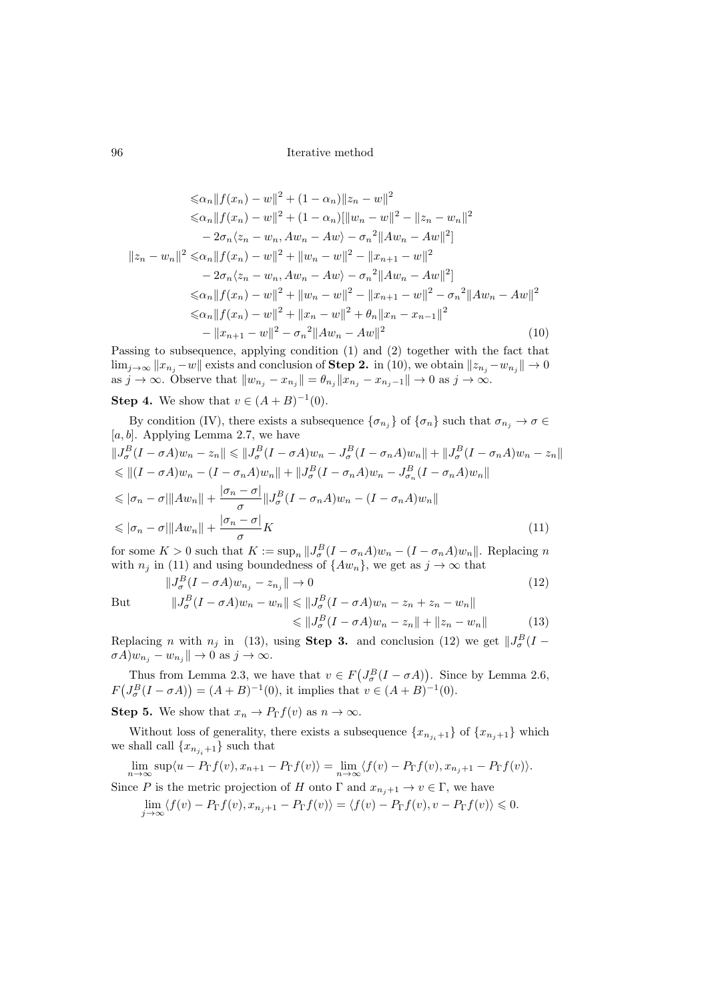$$
\leq \alpha_n \|f(x_n) - w\|^2 + (1 - \alpha_n) \|z_n - w\|^2
$$
  
\n
$$
\leq \alpha_n \|f(x_n) - w\|^2 + (1 - \alpha_n) [\|w_n - w\|^2 - \|z_n - w_n\|^2
$$
  
\n
$$
- 2\sigma_n \langle z_n - w_n, Aw_n - Aw \rangle - \sigma_n^2 \|Aw_n - Aw\|^2]
$$
  
\n
$$
\|z_n - w_n\|^2 \leq \alpha_n \|f(x_n) - w\|^2 + \|w_n - w\|^2 - \|x_{n+1} - w\|^2
$$
  
\n
$$
- 2\sigma_n \langle z_n - w_n, Aw_n - Aw \rangle - \sigma_n^2 \|Aw_n - Aw\|^2]
$$
  
\n
$$
\leq \alpha_n \|f(x_n) - w\|^2 + \|w_n - w\|^2 - \|x_{n+1} - w\|^2 - \sigma_n^2 \|Aw_n - Aw\|^2
$$
  
\n
$$
\leq \alpha_n \|f(x_n) - w\|^2 + \|x_n - w\|^2 + \theta_n \|x_n - x_{n-1}\|^2
$$
  
\n
$$
- \|x_{n+1} - w\|^2 - \sigma_n^2 \|Aw_n - Aw\|^2
$$
\n(10)

Passing to subsequence, applying condition (1) and (2) together with the fact that  $\lim_{j\to\infty} ||x_{n_j}-w||$  exists and conclusion of **[Step 2.](#page-6-0)** in [\(10\)](#page-7-0), we obtain  $||z_{n_j}-w_{n_j}||\to 0$ as  $j \to \infty$ . Observe that  $||w_{n_j} - x_{n_j}|| = \theta_{n_j} ||x_{n_j} - x_{n_j-1}|| \to 0$  as  $j \to \infty$ .

# **Step 4.** We show that  $v \in (A + B)^{-1}(0)$ .

By condition [\(IV\),](#page-3-8) there exists a subsequence  $\{\sigma_{n_j}\}\$  of  $\{\sigma_n\}$  such that  $\sigma_{n_j} \to \sigma \in$  $[a, b]$ . Applying Lemma [2.7,](#page-3-9) we have  $||J_{\sigma}^{B}(I-\sigma A)w_{n}-z_{n}|| \leq ||J_{\sigma}^{B}(I-\sigma A)w_{n}-J_{\sigma}^{B}(I-\sigma_{n}A)w_{n}|| + ||J_{\sigma}^{B}(I-\sigma_{n}A)w_{n}-z_{n}||$  $\leq \left\| (I - \sigma A) w_n - (I - \sigma_n A) w_n \right\| + \left\| J_{\sigma}^B (I - \sigma_n A) w_n - J_{\sigma_n}^B (I - \sigma_n A) w_n \right\|$  $\leqslant |\sigma_n-\sigma|\|Aw_n\|+\frac{|\sigma_n-\sigma|}{\sigma}$  $\frac{\partial}{\partial \sigma} ||J_{\sigma}^{B}(I-\sigma_{n}A)w_{n}-(I-\sigma_{n}A)w_{n}||$  $\leqslant |\sigma_n-\sigma|\|Aw_n\|+\frac{|\sigma_n-\sigma|}{\sigma}$ σ  $K \tag{11}$ 

for some  $K > 0$  such that  $K := \sup_n ||J^B_\sigma (I - \sigma_n A) w_n - (I - \sigma_n A) w_n||$ . Replacing n with  $n_j$  in [\(11\)](#page-7-1) and using boundedness of  $\{Aw_n\}$ , we get as  $j \to \infty$  that

$$
||J_{\sigma}^{B}(I - \sigma A)w_{n_{j}} - z_{n_{j}}|| \to 0
$$
  

$$
||J_{\sigma}^{B}(I - \sigma A)w_{n} - w_{n}|| \le ||J_{\sigma}^{B}(I - \sigma A)w_{n} - z_{n} + z_{n} - w_{n}||
$$
 (12)

But

<span id="page-7-3"></span><span id="page-7-2"></span><span id="page-7-1"></span><span id="page-7-0"></span>
$$
||\psi|| \le ||J_{\sigma}^{B}(I - \sigma A)w_{n} - z_{n} + z_{n} - w_{n}||
$$
  
\n
$$
\le ||J_{\sigma}^{B}(I - \sigma A)w_{n} - z_{n}|| + ||z_{n} - w_{n}||
$$
\n(13)

Replacing n with  $n_j$  in [\(13\)](#page-7-2), using **[Step 3.](#page-6-1)** and conclusion [\(12\)](#page-7-3) we get  $||J^B_\sigma(I \sigma A)w_{n_j} - w_{n_j}$   $\|\to 0$  as  $j \to \infty$ .

Thus from Lemma [2.3,](#page-2-1) we have that  $v \in F(J^B_\sigma(I - \sigma A))$ . Since by Lemma [2.6,](#page-3-10)  $F(J^B_{\sigma}(I - \sigma A)) = (A + B)^{-1}(0)$ , it implies that  $v \in (A + B)^{-1}(0)$ .

**Step 5.** We show that  $x_n \to P_{\Gamma}f(v)$  as  $n \to \infty$ .

Without loss of generality, there exists a subsequence  $\{x_{n_{i+1}}\}$  of  $\{x_{n_{i+1}}\}$  which we shall call  $\{x_{n_{i+1}}\}$  such that

$$
\lim_{n \to \infty} \sup \langle u - P_{\Gamma} f(v), x_{n+1} - P_{\Gamma} f(v) \rangle = \lim_{n \to \infty} \langle f(v) - P_{\Gamma} f(v), x_{n+1} - P_{\Gamma} f(v) \rangle.
$$
  
Since P is the metric projection of H onto  $\Gamma$  and  $x_{n+1} \to v \in \Gamma$ , we have

$$
\lim_{j \to \infty} \langle f(v) - P_{\Gamma} f(v), x_{n_j+1} - P_{\Gamma} f(v) \rangle = \langle f(v) - P_{\Gamma} f(v), v - P_{\Gamma} f(v) \rangle \leq 0.
$$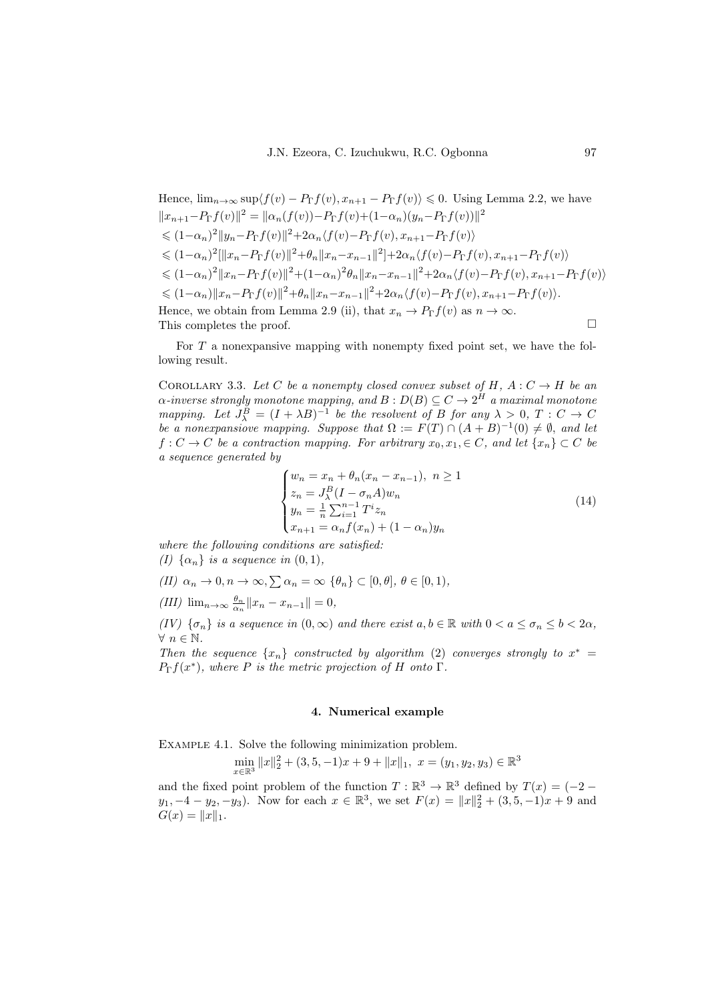Hence, 
$$
\lim_{n\to\infty} \sup \langle f(v) - P_{\Gamma}f(v), x_{n+1} - P_{\Gamma}f(v) \rangle \le 0
$$
. Using Lemma 2.2, we have  
\n $\|x_{n+1} - P_{\Gamma}f(v)\|^2 = \|\alpha_n(f(v)) - P_{\Gamma}f(v) + (1-\alpha_n)(y_n - P_{\Gamma}f(v))\|^2$   
\n $\le (1-\alpha_n)^2 \|y_n - P_{\Gamma}f(v)\|^2 + 2\alpha_n \langle f(v) - P_{\Gamma}f(v), x_{n+1} - P_{\Gamma}f(v) \rangle$   
\n $\le (1-\alpha_n)^2 [\|x_n - P_{\Gamma}f(v)\|^2 + \theta_n \|x_n - x_{n-1}\|^2] + 2\alpha_n \langle f(v) - P_{\Gamma}f(v), x_{n+1} - P_{\Gamma}f(v) \rangle$   
\n $\le (1-\alpha_n)^2 \|x_n - P_{\Gamma}f(v)\|^2 + (1-\alpha_n)^2 \theta_n \|x_n - x_{n-1}\|^2 + 2\alpha_n \langle f(v) - P_{\Gamma}f(v), x_{n+1} - P_{\Gamma}f(v) \rangle$   
\n $\le (1-\alpha_n) \|x_n - P_{\Gamma}f(v)\|^2 + \theta_n \|x_n - x_{n-1}\|^2 + 2\alpha_n \langle f(v) - P_{\Gamma}f(v), x_{n+1} - P_{\Gamma}f(v) \rangle$ .  
\nHence, we obtain from Lemma 2.9 (ii), that  $x_n \to P_{\Gamma}f(v)$  as  $n \to \infty$ .  
\nThis completes the proof.

For  $T$  a nonexpansive mapping with nonempty fixed point set, we have the following result.

COROLLARY 3.3. Let C be a nonempty closed convex subset of H,  $A: C \rightarrow H$  be an  $\alpha$ -inverse strongly monotone mapping, and  $B:D(B)\subseteq C\to 2^H$  a maximal monotone mapping. Let  $J^B_\lambda = (I + \lambda B)^{-1}$  be the resolvent of B for any  $\lambda > 0$ ,  $T : C \to C$ be a nonexpansiove mapping. Suppose that  $\Omega := F(T) \cap (A + B)^{-1}(0) \neq \emptyset$ , and let  $f: C \to C$  be a contraction mapping. For arbitrary  $x_0, x_1, \in C$ , and let  $\{x_n\} \subset C$  be a sequence generated by

<span id="page-8-0"></span>
$$
\begin{cases}\nw_n = x_n + \theta_n (x_n - x_{n-1}), \quad n \ge 1 \\
z_n = J_\lambda^B (I - \sigma_n A) w_n \\
y_n = \frac{1}{n} \sum_{i=1}^{n-1} T^i z_n \\
x_{n+1} = \alpha_n f(x_n) + (1 - \alpha_n) y_n\n\end{cases} \tag{14}
$$

where the following conditions are satisfied: (I)  $\{\alpha_n\}$  is a sequence in  $(0, 1)$ ,

- (II)  $\alpha_n \to 0, n \to \infty, \sum \alpha_n = \infty \, {\{\theta_n\}} \subset [0, \theta], \, \theta \in [0, 1),$
- (III)  $\lim_{n\to\infty} \frac{\theta_n}{\alpha_n} ||x_n x_{n-1}|| = 0,$

(IV)  $\{\sigma_n\}$  is a sequence in  $(0,\infty)$  and there exist  $a, b \in \mathbb{R}$  with  $0 < a \leq \sigma_n \leq b < 2\alpha$ ,  $\forall n \in \mathbb{N}$ .

Then the sequence  $\{x_n\}$  constructed by algorithm [\(2\)](#page-3-0) converges strongly to  $x^* =$  $P_{\Gamma}f(x^*)$ , where P is the metric projection of H onto  $\Gamma$ .

#### 4. Numerical example

Example 4.1. Solve the following minimization problem.

$$
\min_{x \in \mathbb{R}^3} ||x||_2^2 + (3, 5, -1)x + 9 + ||x||_1, \ x = (y_1, y_2, y_3) \in \mathbb{R}^3
$$

and the fixed point problem of the function  $T : \mathbb{R}^3 \to \mathbb{R}^3$  defined by  $T(x) = (-2$  $y_1, -4 - y_2, -y_3$ . Now for each  $x \in \mathbb{R}^3$ , we set  $F(x) = ||x||_2^2 + (3, 5, -1)x + 9$  and  $G(x) = ||x||_1.$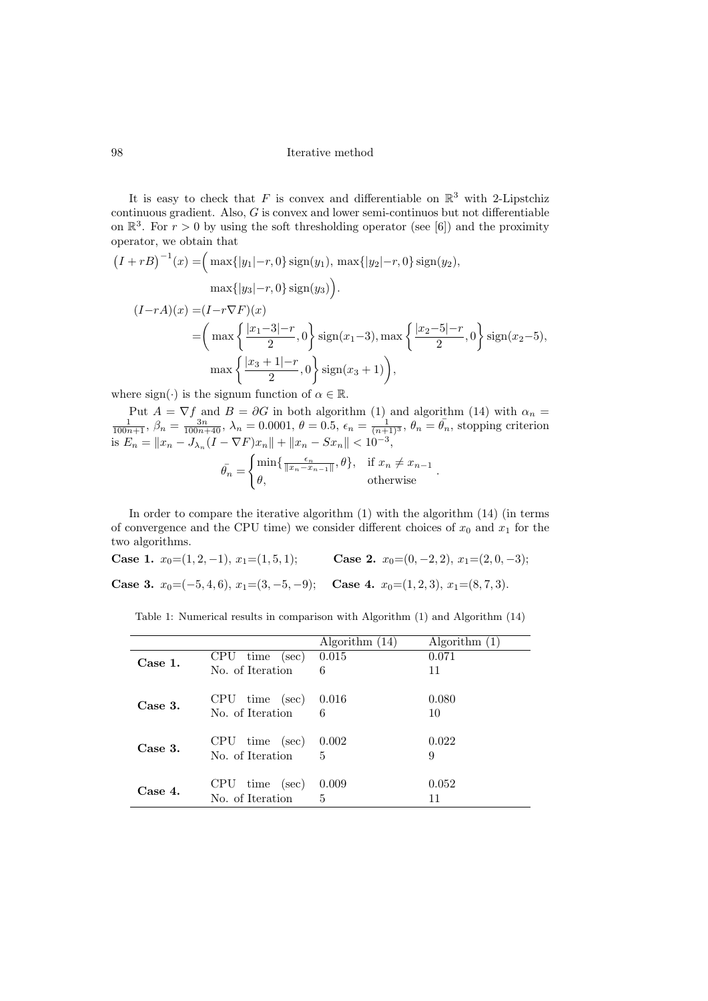It is easy to check that F is convex and differentiable on  $\mathbb{R}^3$  with 2-Lipstchiz continuous gradient. Also, G is convex and lower semi-continuos but not differentiable on  $\mathbb{R}^3$ . For  $r > 0$  by using the soft thresholding operator (see [\[6\]](#page-11-17)) and the proximity operator, we obtain that

$$
(I + rB)^{-1}(x) = \left(\max\{|y_1| - r, 0\}\operatorname{sign}(y_1), \max\{|y_2| - r, 0\}\operatorname{sign}(y_2),\right.\max\{|y_3| - r, 0\}\operatorname{sign}(y_3)\right).
$$
  

$$
(I - rA)(x) = (I - r\nabla F)(x)
$$

$$
= \left(\max\left\{\frac{|x_1 - 3| - r}{2}, 0\right\}\operatorname{sign}(x_1 - 3), \max\left\{\frac{|x_2 - 5| - r}{2}, 0\right\}\operatorname{sign}(x_2 - 5),\right.\max\left\{\frac{|x_3 + 1| - r}{2}, 0\right\}\operatorname{sign}(x_3 + 1)\right),
$$

where sign( $\cdot$ ) is the signum function of  $\alpha \in \mathbb{R}$ .

Put  $A = \nabla f$  and  $B = \partial G$  in both algorithm [\(1\)](#page-2-3) and algorithm [\(14\)](#page-8-0) with  $\alpha_n = \frac{1}{100n+1}$ ,  $\beta_n = \frac{3n}{100n+40}$ ,  $\lambda_n = 0.0001$ ,  $\theta = 0.5$ ,  $\epsilon_n = \frac{1}{(n+1)^3}$ ,  $\theta_n = \bar{\theta}_n$ , stopping criterion is  $E_n = \|x_n - J_{\lambda_n}(I - \nabla F)x_n\| + \|x_n - Sx_n\| < 10^{-3}$ ,

<span id="page-9-3"></span><span id="page-9-2"></span>
$$
\bar{\theta_n} = \begin{cases} \min\{\frac{\epsilon_n}{\|x_n - x_{n-1}\|}, \theta\}, & \text{if } x_n \neq x_{n-1} \\ \theta, & \text{otherwise} \end{cases}.
$$

In order to compare the iterative algorithm [\(1\)](#page-2-3) with the algorithm [\(14\)](#page-8-0) (in terms of convergence and the CPU time) we consider different choices of  $x_0$  and  $x_1$  for the two algorithms.

<span id="page-9-0"></span>Case 1.  $x_0=(1, 2, -1), x_1=(1, 5, 1);$  Case 2.  $x_0=(0, -2, 2), x_1=(2, 0, -3);$ 

<span id="page-9-1"></span>Case 3.  $x_0 = (-5, 4, 6), x_1 = (3, -5, -9);$  Case 4.  $x_0 = (1, 2, 3), x_1 = (8, 7, 3).$ 

Table 1: Numerical results in comparison with Algorithm [\(1\)](#page-2-3) and Algorithm [\(14\)](#page-8-0)

|         |                                      | Algorithm $(14)$ | Algorithm $(1)$ |
|---------|--------------------------------------|------------------|-----------------|
| Case 1. | $\rm CPU$<br>time (sec)              | 0.015            | 0.071           |
|         | No. of Iteration                     | 6                | 11              |
| Case 3. | CPU time (sec)                       | 0.016            | 0.080           |
|         | No. of Iteration                     | 6                | 10              |
|         |                                      | 0.002            | 0.022           |
| Case 3. | $CPU$ time (sec)<br>No. of Iteration | 5                | 9               |
|         |                                      |                  |                 |
| Case 4. | $CPU$ time (sec)                     | 0.009            | 0.052           |
|         | No. of Iteration                     | 5                | 11              |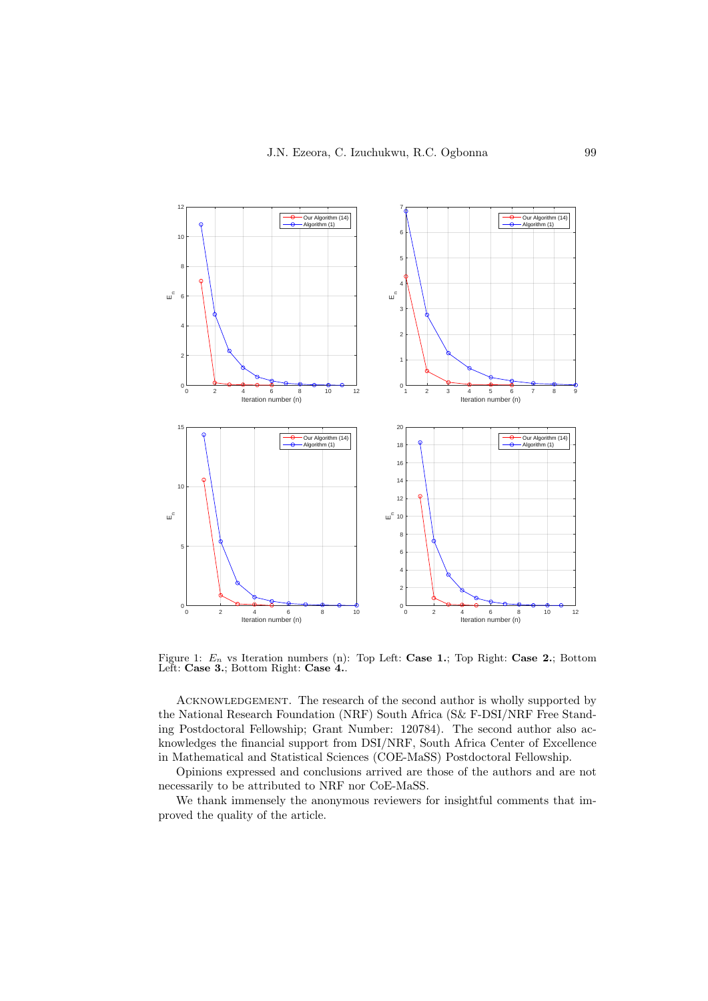

Figure 1:  $E_n$  vs Iteration numbers (n): Top Left: [Case 1.](#page-9-0); Top Right: [Case 2.](#page-9-3); Bottom Left: [Case 3.](#page-9-1); Bottom Right: [Case 4.](#page-9-2).

ACKNOWLEDGEMENT. The research of the second author is wholly supported by the National Research Foundation (NRF) South Africa (S& F-DSI/NRF Free Standing Postdoctoral Fellowship; Grant Number: 120784). The second author also acknowledges the financial support from DSI/NRF, South Africa Center of Excellence in Mathematical and Statistical Sciences (COE-MaSS) Postdoctoral Fellowship.

Opinions expressed and conclusions arrived are those of the authors and are not necessarily to be attributed to NRF nor CoE-MaSS.

We thank immensely the anonymous reviewers for insightful comments that improved the quality of the article.